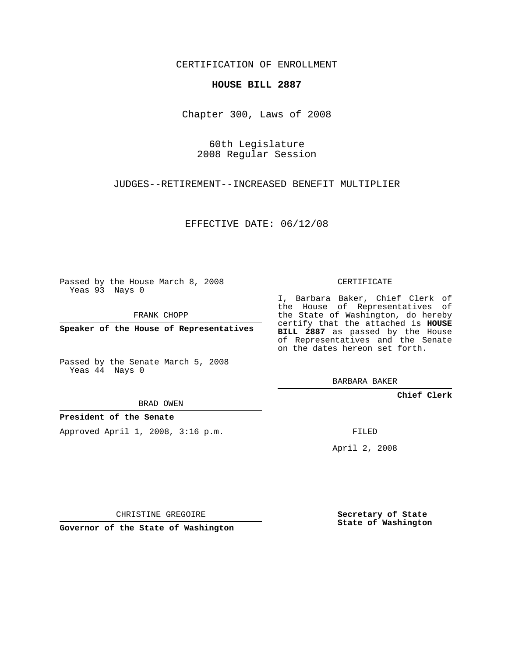CERTIFICATION OF ENROLLMENT

## **HOUSE BILL 2887**

Chapter 300, Laws of 2008

60th Legislature 2008 Regular Session

JUDGES--RETIREMENT--INCREASED BENEFIT MULTIPLIER

EFFECTIVE DATE: 06/12/08

Passed by the House March 8, 2008 Yeas 93 Nays 0

FRANK CHOPP

**Speaker of the House of Representatives**

Passed by the Senate March 5, 2008 Yeas 44 Nays 0

BRAD OWEN

**President of the Senate**

Approved April 1, 2008, 3:16 p.m.

CERTIFICATE

I, Barbara Baker, Chief Clerk of the House of Representatives of the State of Washington, do hereby certify that the attached is **HOUSE BILL 2887** as passed by the House of Representatives and the Senate on the dates hereon set forth.

BARBARA BAKER

**Chief Clerk**

FILED

April 2, 2008

CHRISTINE GREGOIRE

**Governor of the State of Washington**

**Secretary of State State of Washington**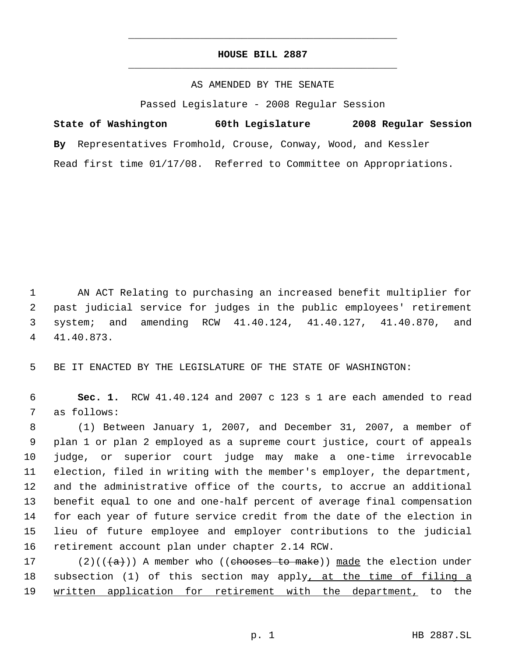## **HOUSE BILL 2887** \_\_\_\_\_\_\_\_\_\_\_\_\_\_\_\_\_\_\_\_\_\_\_\_\_\_\_\_\_\_\_\_\_\_\_\_\_\_\_\_\_\_\_\_\_

\_\_\_\_\_\_\_\_\_\_\_\_\_\_\_\_\_\_\_\_\_\_\_\_\_\_\_\_\_\_\_\_\_\_\_\_\_\_\_\_\_\_\_\_\_

## AS AMENDED BY THE SENATE

Passed Legislature - 2008 Regular Session

**State of Washington 60th Legislature 2008 Regular Session By** Representatives Fromhold, Crouse, Conway, Wood, and Kessler Read first time 01/17/08. Referred to Committee on Appropriations.

 AN ACT Relating to purchasing an increased benefit multiplier for past judicial service for judges in the public employees' retirement system; and amending RCW 41.40.124, 41.40.127, 41.40.870, and 41.40.873.

5 BE IT ENACTED BY THE LEGISLATURE OF THE STATE OF WASHINGTON:

 6 **Sec. 1.** RCW 41.40.124 and 2007 c 123 s 1 are each amended to read 7 as follows:

 (1) Between January 1, 2007, and December 31, 2007, a member of plan 1 or plan 2 employed as a supreme court justice, court of appeals judge, or superior court judge may make a one-time irrevocable election, filed in writing with the member's employer, the department, and the administrative office of the courts, to accrue an additional benefit equal to one and one-half percent of average final compensation for each year of future service credit from the date of the election in lieu of future employee and employer contributions to the judicial retirement account plan under chapter 2.14 RCW.

17 (2)(( $\left(\frac{a}{a}\right)$ ) A member who ((chooses to make)) made the election under 18 subsection (1) of this section may apply, at the time of filing a 19 written application for retirement with the department, to the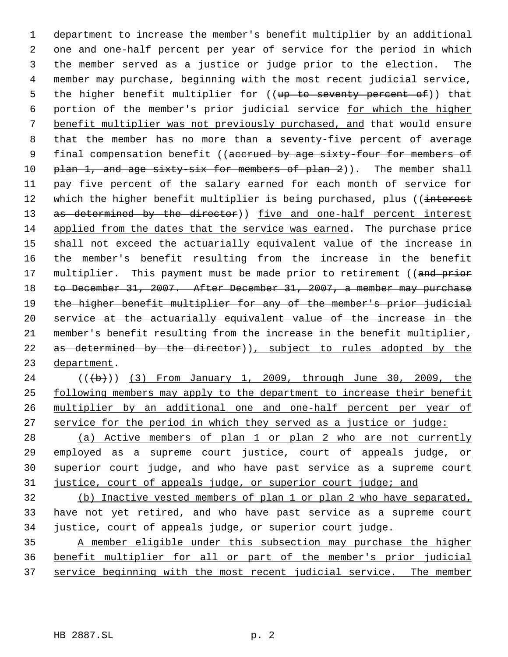department to increase the member's benefit multiplier by an additional one and one-half percent per year of service for the period in which the member served as a justice or judge prior to the election. The member may purchase, beginning with the most recent judicial service, 5 the higher benefit multiplier for ((up to seventy percent of)) that portion of the member's prior judicial service for which the higher benefit multiplier was not previously purchased, and that would ensure that the member has no more than a seventy-five percent of average 9 final compensation benefit ((accrued by age sixty-four for members of 10 plan 1, and age sixty six for members of plan 2)). The member shall pay five percent of the salary earned for each month of service for 12 which the higher benefit multiplier is being purchased, plus ((interest 13 as determined by the director)) five and one-half percent interest applied from the dates that the service was earned. The purchase price shall not exceed the actuarially equivalent value of the increase in the member's benefit resulting from the increase in the benefit 17 multiplier. This payment must be made prior to retirement ((and prior to December 31, 2007. After December 31, 2007, a member may purchase the higher benefit multiplier for any of the member's prior judicial service at the actuarially equivalent value of the increase in the member's benefit resulting from the increase in the benefit multiplier, 22 as determined by the director)), subject to rules adopted by the department.

24 (((b)) (3) From January 1, 2009, through June 30, 2009, the 25 following members may apply to the department to increase their benefit 26 multiplier by an additional one and one-half percent per year of 27 service for the period in which they served as a justice or judge:

 (a) Active members of plan 1 or plan 2 who are not currently employed as a supreme court justice, court of appeals judge, or superior court judge, and who have past service as a supreme court 31 justice, court of appeals judge, or superior court judge; and

 (b) Inactive vested members of plan 1 or plan 2 who have separated, 33 have not yet retired, and who have past service as a supreme court justice, court of appeals judge, or superior court judge.

 A member eligible under this subsection may purchase the higher benefit multiplier for all or part of the member's prior judicial service beginning with the most recent judicial service. The member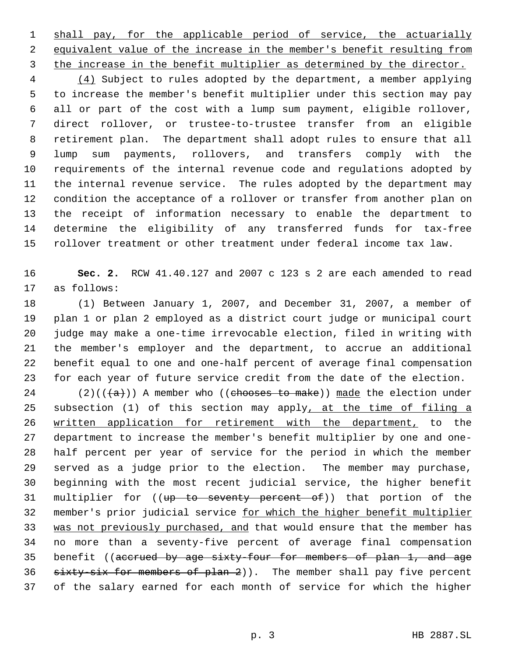1 shall pay, for the applicable period of service, the actuarially equivalent value of the increase in the member's benefit resulting from the increase in the benefit multiplier as determined by the director.

 (4) Subject to rules adopted by the department, a member applying to increase the member's benefit multiplier under this section may pay all or part of the cost with a lump sum payment, eligible rollover, direct rollover, or trustee-to-trustee transfer from an eligible retirement plan. The department shall adopt rules to ensure that all lump sum payments, rollovers, and transfers comply with the requirements of the internal revenue code and regulations adopted by the internal revenue service. The rules adopted by the department may condition the acceptance of a rollover or transfer from another plan on the receipt of information necessary to enable the department to determine the eligibility of any transferred funds for tax-free rollover treatment or other treatment under federal income tax law.

 **Sec. 2.** RCW 41.40.127 and 2007 c 123 s 2 are each amended to read as follows:

 (1) Between January 1, 2007, and December 31, 2007, a member of plan 1 or plan 2 employed as a district court judge or municipal court judge may make a one-time irrevocable election, filed in writing with the member's employer and the department, to accrue an additional benefit equal to one and one-half percent of average final compensation for each year of future service credit from the date of the election.

24 (2)( $(\overline{a})$ ) A member who ((chooses to make)) made the election under 25 subsection (1) of this section may apply, at the time of filing a written application for retirement with the department, to the department to increase the member's benefit multiplier by one and one- half percent per year of service for the period in which the member served as a judge prior to the election. The member may purchase, beginning with the most recent judicial service, the higher benefit 31 multiplier for ((up to seventy percent of)) that portion of the member's prior judicial service for which the higher benefit multiplier 33 was not previously purchased, and that would ensure that the member has no more than a seventy-five percent of average final compensation 35 benefit ((accrued by age sixty-four for members of plan 1, and age 36 sixty-six for members of plan 2)). The member shall pay five percent of the salary earned for each month of service for which the higher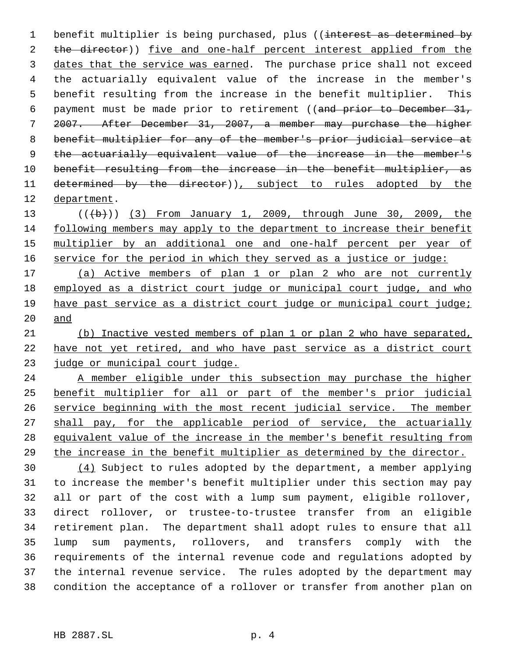1 benefit multiplier is being purchased, plus ((interest as determined by 2 the director)) five and one-half percent interest applied from the 3 dates that the service was earned. The purchase price shall not exceed the actuarially equivalent value of the increase in the member's benefit resulting from the increase in the benefit multiplier. This payment must be made prior to retirement ((and prior to December 31, 2007. After December 31, 2007, a member may purchase the higher benefit multiplier for any of the member's prior judicial service at the actuarially equivalent value of the increase in the member's 10 benefit resulting from the increase in the benefit multiplier, as 11 determined by the director)), subject to rules adopted by the department.

13 (((b))) (3) From January 1, 2009, through June 30, 2009, the following members may apply to the department to increase their benefit 15 multiplier by an additional one and one-half percent per year of 16 service for the period in which they served as a justice or judge:

 (a) Active members of plan 1 or plan 2 who are not currently employed as a district court judge or municipal court judge, and who have past service as a district court judge or municipal court judge; and

 (b) Inactive vested members of plan 1 or plan 2 who have separated, have not yet retired, and who have past service as a district court 23 judge or municipal court judge.

 A member eligible under this subsection may purchase the higher benefit multiplier for all or part of the member's prior judicial service beginning with the most recent judicial service. The member 27 shall pay, for the applicable period of service, the actuarially equivalent value of the increase in the member's benefit resulting from the increase in the benefit multiplier as determined by the director.

 (4) Subject to rules adopted by the department, a member applying to increase the member's benefit multiplier under this section may pay all or part of the cost with a lump sum payment, eligible rollover, direct rollover, or trustee-to-trustee transfer from an eligible retirement plan. The department shall adopt rules to ensure that all lump sum payments, rollovers, and transfers comply with the requirements of the internal revenue code and regulations adopted by the internal revenue service. The rules adopted by the department may condition the acceptance of a rollover or transfer from another plan on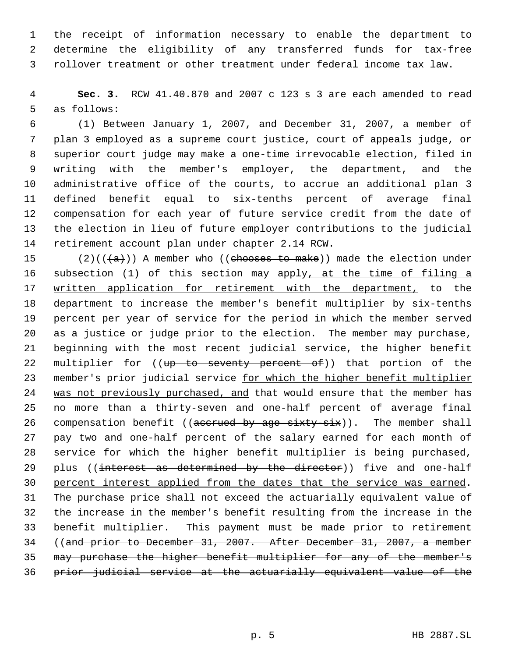the receipt of information necessary to enable the department to determine the eligibility of any transferred funds for tax-free rollover treatment or other treatment under federal income tax law.

 **Sec. 3.** RCW 41.40.870 and 2007 c 123 s 3 are each amended to read as follows:

 (1) Between January 1, 2007, and December 31, 2007, a member of plan 3 employed as a supreme court justice, court of appeals judge, or superior court judge may make a one-time irrevocable election, filed in writing with the member's employer, the department, and the administrative office of the courts, to accrue an additional plan 3 defined benefit equal to six-tenths percent of average final compensation for each year of future service credit from the date of the election in lieu of future employer contributions to the judicial retirement account plan under chapter 2.14 RCW.

15 (2)(( $(a)$ )) A member who ((chooses to make)) made the election under 16 subsection (1) of this section may apply, at the time of filing a 17 written application for retirement with the department, to the department to increase the member's benefit multiplier by six-tenths percent per year of service for the period in which the member served as a justice or judge prior to the election. The member may purchase, beginning with the most recent judicial service, the higher benefit 22 multiplier for ((up to seventy percent of)) that portion of the 23 member's prior judicial service for which the higher benefit multiplier 24 was not previously purchased, and that would ensure that the member has no more than a thirty-seven and one-half percent of average final 26 compensation benefit ((accrued by age sixty-six)). The member shall pay two and one-half percent of the salary earned for each month of service for which the higher benefit multiplier is being purchased, 29 plus ((interest as determined by the director)) five and one-half percent interest applied from the dates that the service was earned. The purchase price shall not exceed the actuarially equivalent value of the increase in the member's benefit resulting from the increase in the benefit multiplier. This payment must be made prior to retirement ((and prior to December 31, 2007. After December 31, 2007, a member may purchase the higher benefit multiplier for any of the member's prior judicial service at the actuarially equivalent value of the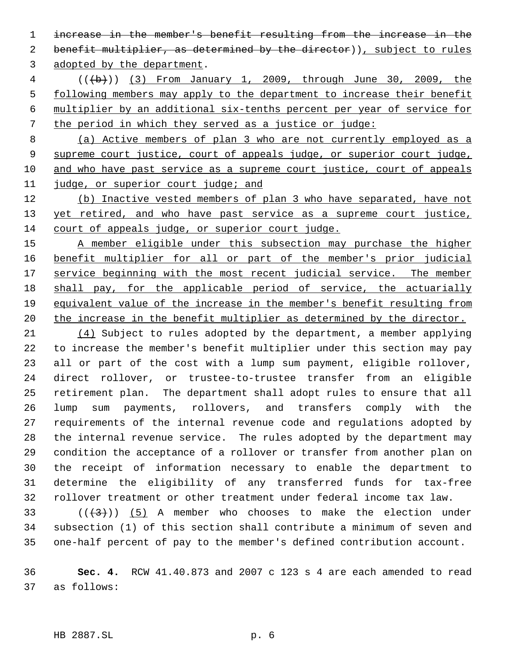increase in the member's benefit resulting from the increase in the 2 benefit multiplier, as determined by the director)), subject to rules adopted by the department.

 (((b))) (3) From January 1, 2009, through June 30, 2009, the following members may apply to the department to increase their benefit multiplier by an additional six-tenths percent per year of service for the period in which they served as a justice or judge:

 (a) Active members of plan 3 who are not currently employed as a supreme court justice, court of appeals judge, or superior court judge, and who have past service as a supreme court justice, court of appeals judge, or superior court judge; and

 (b) Inactive vested members of plan 3 who have separated, have not 13 yet retired, and who have past service as a supreme court justice, court of appeals judge, or superior court judge.

15 A member eligible under this subsection may purchase the higher benefit multiplier for all or part of the member's prior judicial 17 service beginning with the most recent judicial service. The member shall pay, for the applicable period of service, the actuarially equivalent value of the increase in the member's benefit resulting from 20 the increase in the benefit multiplier as determined by the director.

 (4) Subject to rules adopted by the department, a member applying to increase the member's benefit multiplier under this section may pay all or part of the cost with a lump sum payment, eligible rollover, direct rollover, or trustee-to-trustee transfer from an eligible retirement plan. The department shall adopt rules to ensure that all lump sum payments, rollovers, and transfers comply with the requirements of the internal revenue code and regulations adopted by the internal revenue service. The rules adopted by the department may condition the acceptance of a rollover or transfer from another plan on the receipt of information necessary to enable the department to determine the eligibility of any transferred funds for tax-free rollover treatment or other treatment under federal income tax law.

33 ( $(\overline{+3})$ ) (5) A member who chooses to make the election under subsection (1) of this section shall contribute a minimum of seven and one-half percent of pay to the member's defined contribution account.

 **Sec. 4.** RCW 41.40.873 and 2007 c 123 s 4 are each amended to read as follows: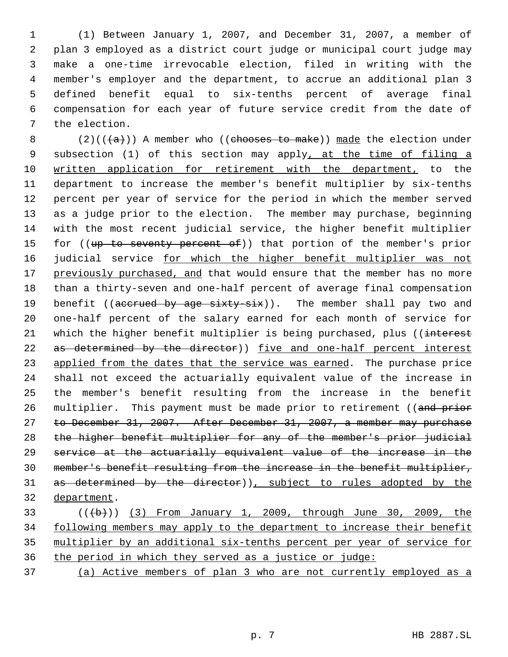(1) Between January 1, 2007, and December 31, 2007, a member of plan 3 employed as a district court judge or municipal court judge may make a one-time irrevocable election, filed in writing with the member's employer and the department, to accrue an additional plan 3 defined benefit equal to six-tenths percent of average final compensation for each year of future service credit from the date of the election.

8 (2)( $(\overline{a})$ ) A member who ((chooses to make)) made the election under 9 subsection (1) of this section may apply, at the time of filing a written application for retirement with the department, to the department to increase the member's benefit multiplier by six-tenths percent per year of service for the period in which the member served as a judge prior to the election. The member may purchase, beginning with the most recent judicial service, the higher benefit multiplier 15 for ((up to seventy percent of)) that portion of the member's prior 16 judicial service for which the higher benefit multiplier was not 17 previously purchased, and that would ensure that the member has no more than a thirty-seven and one-half percent of average final compensation 19 benefit ((accrued by age sixty-six)). The member shall pay two and one-half percent of the salary earned for each month of service for 21 which the higher benefit multiplier is being purchased, plus ((interest 22 as determined by the director)) five and one-half percent interest 23 applied from the dates that the service was earned. The purchase price shall not exceed the actuarially equivalent value of the increase in the member's benefit resulting from the increase in the benefit 26 multiplier. This payment must be made prior to retirement ((and prior to December 31, 2007. After December 31, 2007, a member may purchase the higher benefit multiplier for any of the member's prior judicial service at the actuarially equivalent value of the increase in the member's benefit resulting from the increase in the benefit multiplier, as determined by the director)), subject to rules adopted by the department.

 (((b))) (3) From January 1, 2009, through June 30, 2009, the 34 following members may apply to the department to increase their benefit multiplier by an additional six-tenths percent per year of service for the period in which they served as a justice or judge:

(a) Active members of plan 3 who are not currently employed as a